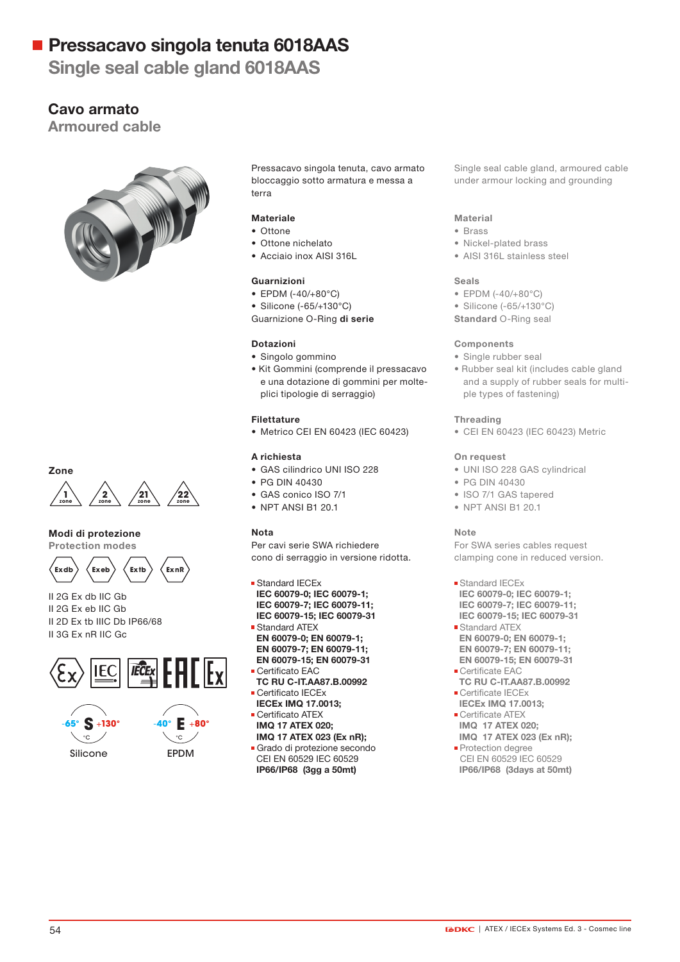Single seal cable gland 6018AAS

### Cavo armato

Armoured cable





#### Modi di protezione

Protection modes



II 2G Ex db IIC Gb II 2G Ex eb IIC Gb II 2D Ex tb IIIC Db IP66/68 II 3G Ex nR IIC Gc







Pressacavo singola tenuta, cavo armato bloccaggio sotto armatura e messa a terra

#### Materiale

- Ottone
- Ottone nichelato
- Acciaio inox AISI 316L

#### Guarnizioni

- EPDM (-40/+80°C)
- Silicone (-65/+130°C)
- Guarnizione O-Ring di serie

#### Dotazioni

- Singolo gommino
- Kit Gommini (comprende il pressacavo e una dotazione di gommini per molteplici tipologie di serraggio)

#### Filettature

• Metrico CEI EN 60423 (IEC 60423)

#### A richiesta

- GAS cilindrico UNI ISO 228
- PG DIN 40430
- GAS conico ISO 7/1
- NPT ANSI B1 20.1

#### Nota

Per cavi serie SWA richiedere cono di serraggio in versione ridotta.

**Standard IECEx**  IEC 60079-0; IEC 60079-1; IEC 60079-7; IEC 60079-11; IEC 60079-15; IEC 60079-31 Standard ATEX

- EN 60079-0; EN 60079-1; EN 60079-7; EN 60079-11;
- EN 60079-15; EN 60079-31
- Certificato EAC
- TC RU C-IT.AA87.B.00992 Certificato IECEx
- IECEx IMQ 17.0013;
- Certificato ATEX IMQ 17 ATEX 020;
- IMQ 17 ATEX 023 (Ex nR);
- Grado di protezione secondo CEI EN 60529 IEC 60529 IP66/IP68 (3gg a 50mt)

Single seal cable gland, armoured cable under armour locking and grounding

#### Material

- Brass
- Nickel-plated brass
- AISI 316L stainless steel

#### Seals

- EPDM (-40/+80°C)
- Silicone (-65/+130°C)
- Standard O-Ring seal

#### Components

- Single rubber seal
- Rubber seal kit (includes cable gland and a supply of rubber seals for multiple types of fastening)

#### Threading

• CEI EN 60423 (IEC 60423) Metric

#### On request

- UNI ISO 228 GAS cylindrical
- PG DIN 40430
- ISO 7/1 GAS tapered
- NPT ANSI B1 20.1

#### Note

For SWA series cables request clamping cone in reduced version.

- **Standard IECEx**  IEC 60079-0; IEC 60079-1; IEC 60079-7; IEC 60079-11; IEC 60079-15; IEC 60079-31
- Standard ATEX EN 60079-0; EN 60079-1; EN 60079-7; EN 60079-11; EN 60079-15; EN 60079-31
- **Certificate EAC**  TC RU C-IT.AA87.B.00992 Certificate IECEx
- IECEx IMQ 17.0013; **Certificate ATEX**
- IMQ 17 ATEX 020;
- IMQ 17 ATEX 023 (Ex nR); **Protection degree**
- CEI EN 60529 IEC 60529 IP66/IP68 (3days at 50mt)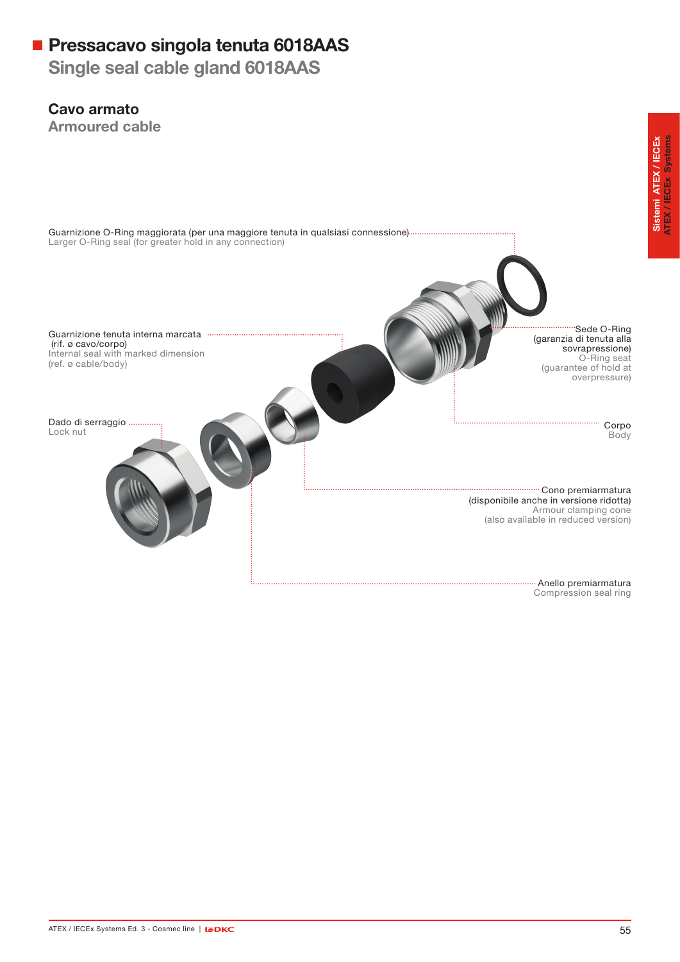Single seal cable gland 6018AAS

### Cavo armato

Armoured cable



Sistemi ATEX / IECEx<br>ATEX / IECEx Systems ATEX / IECEx Systems Sistemi ATEX / IECEx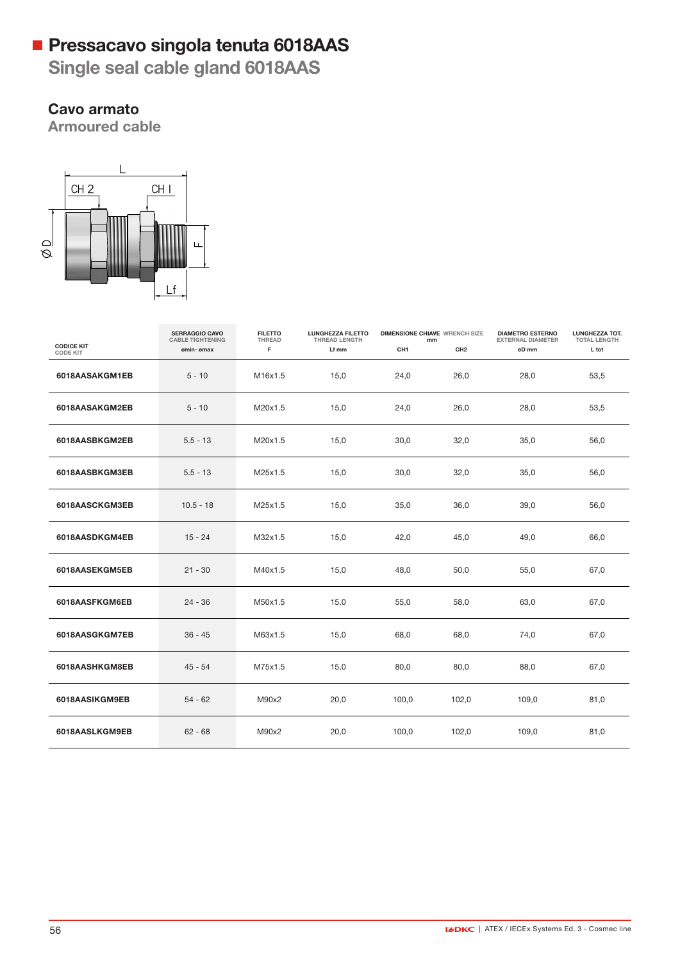Single seal cable gland 6018AAS

## Cavo armato

**Armoured cable** 



|                                      | <b>SERRAGGIO CAVO</b><br><b>CABLE TIGHTENING</b> | <b>FILETTO</b><br>THREAD | <b>LUNGHEZZA FILETTO</b><br><b>THREAD LENGTH</b> | <b>DIMENSIONE CHIAVE WRENCH SIZE</b><br>mm |                 | <b>DIAMETRO ESTERNO</b><br><b>EXTERNAL DIAMETER</b> | LUNGHEZZA TOT.<br><b>TOTAL LENGTH</b> |
|--------------------------------------|--------------------------------------------------|--------------------------|--------------------------------------------------|--------------------------------------------|-----------------|-----------------------------------------------------|---------------------------------------|
| <b>CODICE KIT</b><br><b>CODE KIT</b> | ømin- ømax                                       | F                        | Lf mm                                            | CH <sub>1</sub>                            | CH <sub>2</sub> | øD mm                                               | L tot                                 |
| 6018AASAKGM1EB                       | $5 - 10$                                         | M16x1.5                  | 15,0                                             | 24,0                                       | 26,0            | 28,0                                                | 53,5                                  |
| 6018AASAKGM2EB                       | $5 - 10$                                         | M20x1.5                  | 15,0                                             | 24,0                                       | 26,0            | 28,0                                                | 53,5                                  |
| 6018AASBKGM2EB                       | $5.5 - 13$                                       | M20x1.5                  | 15,0                                             | 30,0                                       | 32,0            | 35,0                                                | 56,0                                  |
| 6018AASBKGM3EB                       | $5.5 - 13$                                       | M25x1.5                  | 15,0                                             | 30,0                                       | 32,0            | 35,0                                                | 56,0                                  |
| 6018AASCKGM3EB                       | $10.5 - 18$                                      | M25x1.5                  | 15,0                                             | 35,0                                       | 36,0            | 39,0                                                | 56,0                                  |
| 6018AASDKGM4EB                       | $15 - 24$                                        | M32x1.5                  | 15,0                                             | 42,0                                       | 45,0            | 49,0                                                | 66,0                                  |
| 6018AASEKGM5EB                       | $21 - 30$                                        | M40x1.5                  | 15,0                                             | 48,0                                       | 50,0            | 55,0                                                | 67,0                                  |
| 6018AASFKGM6EB                       | $24 - 36$                                        | M50x1.5                  | 15,0                                             | 55,0                                       | 58,0            | 63,0                                                | 67,0                                  |
| 6018AASGKGM7EB                       | $36 - 45$                                        | M63x1.5                  | 15,0                                             | 68,0                                       | 68,0            | 74,0                                                | 67,0                                  |
| 6018AASHKGM8EB                       | $45 - 54$                                        | M75x1.5                  | 15,0                                             | 80,0                                       | 80,0            | 88,0                                                | 67,0                                  |
| 6018AASIKGM9EB                       | $54 - 62$                                        | M90x2                    | 20,0                                             | 100,0                                      | 102,0           | 109,0                                               | 81,0                                  |
| 6018AASLKGM9EB                       | $62 - 68$                                        | M90x2                    | 20,0                                             | 100,0                                      | 102,0           | 109,0                                               | 81,0                                  |